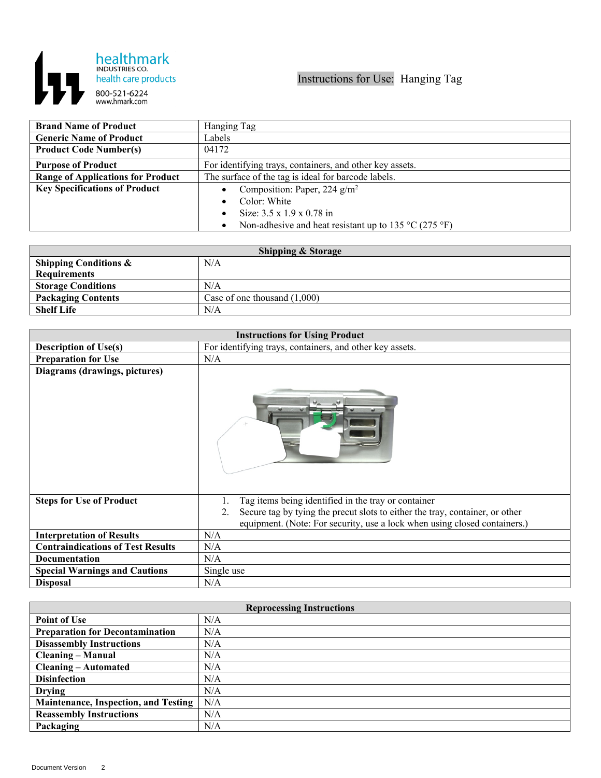

| <b>Brand Name of Product</b>             | Hanging Tag                                                               |
|------------------------------------------|---------------------------------------------------------------------------|
| <b>Generic Name of Product</b>           | Labels                                                                    |
| <b>Product Code Number(s)</b>            | 04172                                                                     |
| <b>Purpose of Product</b>                | For identifying trays, containers, and other key assets.                  |
| <b>Range of Applications for Product</b> | The surface of the tag is ideal for barcode labels.                       |
| <b>Key Specifications of Product</b>     | Composition: Paper, 224 $g/m^2$                                           |
|                                          | Color: White                                                              |
|                                          | Size: $3.5 \times 1.9 \times 0.78$ in                                     |
|                                          | Non-adhesive and heat resistant up to 135 $^{\circ}$ C (275 $^{\circ}$ F) |

| <b>Shipping &amp; Storage</b>    |                                |  |
|----------------------------------|--------------------------------|--|
| <b>Shipping Conditions &amp;</b> | N/A                            |  |
| <b>Requirements</b>              |                                |  |
| <b>Storage Conditions</b>        | N/A                            |  |
| <b>Packaging Contents</b>        | Case of one thousand $(1,000)$ |  |
| <b>Shelf Life</b>                | N/A                            |  |

| <b>Instructions for Using Product</b>    |                                                                                    |
|------------------------------------------|------------------------------------------------------------------------------------|
| <b>Description of Use(s)</b>             | For identifying trays, containers, and other key assets.                           |
| <b>Preparation for Use</b>               | N/A                                                                                |
| Diagrams (drawings, pictures)            |                                                                                    |
|                                          |                                                                                    |
| <b>Steps for Use of Product</b>          | Tag items being identified in the tray or container                                |
|                                          | Secure tag by tying the precut slots to either the tray, container, or other<br>2. |
|                                          | equipment. (Note: For security, use a lock when using closed containers.)          |
| <b>Interpretation of Results</b>         | N/A                                                                                |
| <b>Contraindications of Test Results</b> | N/A                                                                                |
| Documentation                            | N/A                                                                                |
| <b>Special Warnings and Cautions</b>     | Single use                                                                         |
| <b>Disposal</b>                          | N/A                                                                                |

| <b>Reprocessing Instructions</b>            |     |  |
|---------------------------------------------|-----|--|
| <b>Point of Use</b>                         | N/A |  |
| <b>Preparation for Decontamination</b>      | N/A |  |
| <b>Disassembly Instructions</b>             | N/A |  |
| <b>Cleaning – Manual</b>                    | N/A |  |
| <b>Cleaning – Automated</b>                 | N/A |  |
| <b>Disinfection</b>                         | N/A |  |
| <b>Drying</b>                               | N/A |  |
| <b>Maintenance, Inspection, and Testing</b> | N/A |  |
| <b>Reassembly Instructions</b>              | N/A |  |
| Packaging                                   | N/A |  |